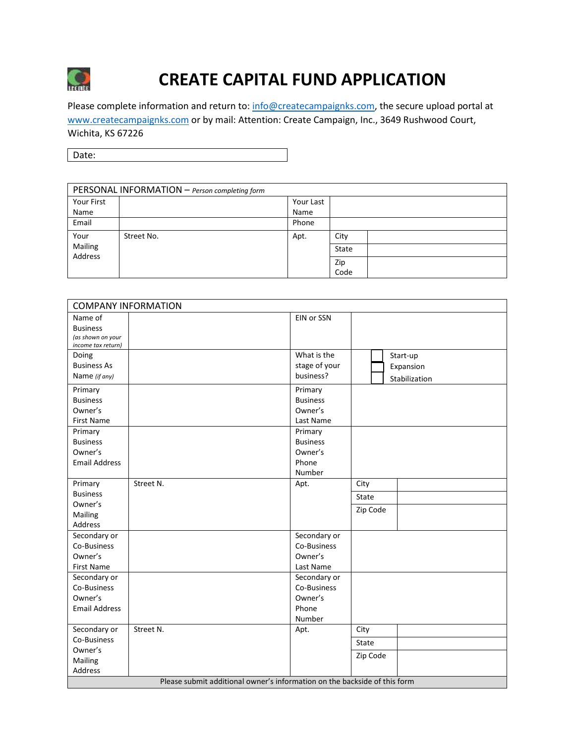

# **CREATE CAPITAL FUND APPLICATION**

Please complete information and return to[: info@createcampaignks.com,](mailto:info@createcampaignks.com) the secure upload portal at [www.createcampaignks.com](http://www.createcampaignks.com/) or by mail: Attention: Create Campaign, Inc., 3649 Rushwood Court, Wichita, KS 67226

Date:

| PERSONAL INFORMATION - Person completing form |            |           |       |
|-----------------------------------------------|------------|-----------|-------|
| Your First                                    |            | Your Last |       |
| Name                                          |            | Name      |       |
| Email                                         |            | Phone     |       |
| Your                                          | Street No. | Apt.      | City  |
| Mailing<br>Address                            |            |           | State |
|                                               |            |           | Zip   |
|                                               |            |           | Code  |

| <b>COMPANY INFORMATION</b>                                                |           |                 |          |               |
|---------------------------------------------------------------------------|-----------|-----------------|----------|---------------|
| Name of                                                                   |           | EIN or SSN      |          |               |
| <b>Business</b>                                                           |           |                 |          |               |
| (as shown on your                                                         |           |                 |          |               |
| income tax return)                                                        |           | What is the     |          |               |
| Doing                                                                     |           |                 |          | Start-up      |
| <b>Business As</b>                                                        |           | stage of your   |          | Expansion     |
| Name (if any)                                                             |           | business?       |          | Stabilization |
| Primary                                                                   |           | Primary         |          |               |
| <b>Business</b>                                                           |           | <b>Business</b> |          |               |
| Owner's                                                                   |           | Owner's         |          |               |
| <b>First Name</b>                                                         |           | Last Name       |          |               |
| Primary                                                                   |           | Primary         |          |               |
| <b>Business</b>                                                           |           | <b>Business</b> |          |               |
| Owner's                                                                   |           | Owner's         |          |               |
| <b>Email Address</b>                                                      |           | Phone           |          |               |
|                                                                           |           | Number          |          |               |
| Primary                                                                   | Street N. | Apt.            | City     |               |
| <b>Business</b>                                                           |           |                 | State    |               |
| Owner's                                                                   |           |                 | Zip Code |               |
| Mailing                                                                   |           |                 |          |               |
| Address                                                                   |           |                 |          |               |
| Secondary or                                                              |           | Secondary or    |          |               |
| Co-Business                                                               |           | Co-Business     |          |               |
| Owner's                                                                   |           | Owner's         |          |               |
| First Name                                                                |           | Last Name       |          |               |
| Secondary or                                                              |           | Secondary or    |          |               |
| Co-Business                                                               |           | Co-Business     |          |               |
| Owner's                                                                   |           | Owner's         |          |               |
| <b>Email Address</b>                                                      |           | Phone           |          |               |
|                                                                           |           | Number          |          |               |
| Secondary or                                                              | Street N. | Apt.            | City     |               |
| Co-Business                                                               |           |                 | State    |               |
| Owner's                                                                   |           |                 | Zip Code |               |
| Mailing                                                                   |           |                 |          |               |
| Address                                                                   |           |                 |          |               |
| Please submit additional owner's information on the backside of this form |           |                 |          |               |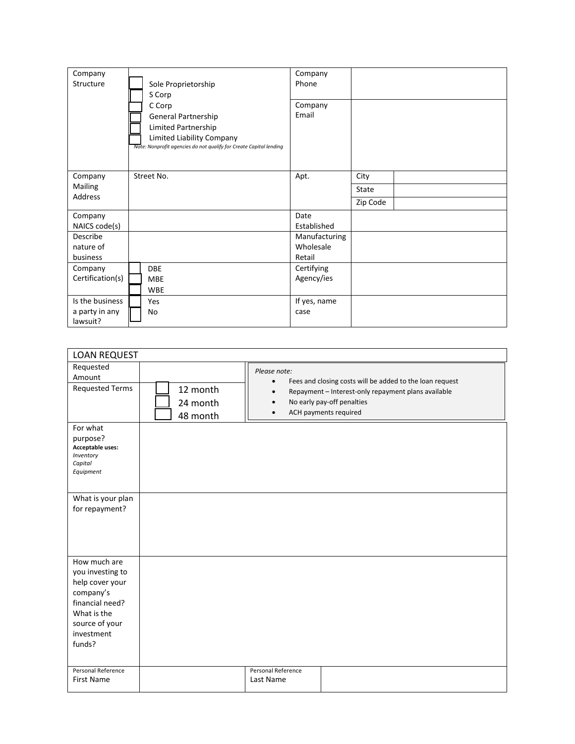| Company<br>Structure       | Sole Proprietorship<br>S Corp<br>C Corp<br>General Partnership<br>Limited Partnership<br>Limited Liability Company<br>Note: Nonprofit agencies do not qualify for Create Capital lending | Company<br>Phone<br>Company<br>Email |          |  |
|----------------------------|------------------------------------------------------------------------------------------------------------------------------------------------------------------------------------------|--------------------------------------|----------|--|
| Company                    | Street No.                                                                                                                                                                               | Apt.                                 | City     |  |
| Mailing                    |                                                                                                                                                                                          |                                      | State    |  |
| Address                    |                                                                                                                                                                                          |                                      | Zip Code |  |
| Company                    |                                                                                                                                                                                          | Date                                 |          |  |
| NAICS code(s)              |                                                                                                                                                                                          | Established                          |          |  |
| Describe                   |                                                                                                                                                                                          | Manufacturing                        |          |  |
| nature of                  |                                                                                                                                                                                          | Wholesale                            |          |  |
| business                   |                                                                                                                                                                                          | Retail                               |          |  |
| Company                    | <b>DBE</b>                                                                                                                                                                               | Certifying                           |          |  |
| Certification(s)           | <b>MBE</b>                                                                                                                                                                               | Agency/ies                           |          |  |
|                            | <b>WBE</b>                                                                                                                                                                               |                                      |          |  |
| Is the business            | Yes                                                                                                                                                                                      | If yes, name                         |          |  |
| a party in any<br>lawsuit? | No                                                                                                                                                                                       | case                                 |          |  |

| <b>LOAN REQUEST</b>                                                                                                                          |                                  |                                                     |                                                                                                                                                                        |
|----------------------------------------------------------------------------------------------------------------------------------------------|----------------------------------|-----------------------------------------------------|------------------------------------------------------------------------------------------------------------------------------------------------------------------------|
| Requested<br>Amount<br><b>Requested Terms</b>                                                                                                | 12 month<br>24 month<br>48 month | Please note:<br>$\bullet$<br>$\bullet$<br>$\bullet$ | Fees and closing costs will be added to the loan request<br>Repayment - Interest-only repayment plans available<br>No early pay-off penalties<br>ACH payments required |
| For what<br>purpose?<br>Acceptable uses:<br>Inventory<br>Capital<br>Equipment                                                                |                                  |                                                     |                                                                                                                                                                        |
| What is your plan<br>for repayment?                                                                                                          |                                  |                                                     |                                                                                                                                                                        |
| How much are<br>you investing to<br>help cover your<br>company's<br>financial need?<br>What is the<br>source of your<br>investment<br>funds? |                                  |                                                     |                                                                                                                                                                        |
| Personal Reference<br><b>First Name</b>                                                                                                      |                                  | Personal Reference<br>Last Name                     |                                                                                                                                                                        |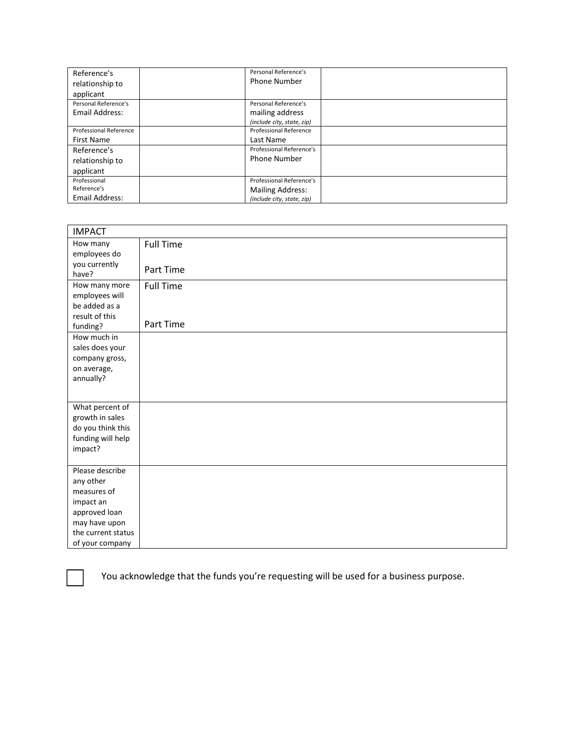| Reference's                   | Personal Reference's          |  |
|-------------------------------|-------------------------------|--|
| relationship to               | <b>Phone Number</b>           |  |
| applicant                     |                               |  |
| Personal Reference's          | Personal Reference's          |  |
| Email Address:                | mailing address               |  |
|                               | (include city, state, zip)    |  |
| <b>Professional Reference</b> | <b>Professional Reference</b> |  |
| <b>First Name</b>             | Last Name                     |  |
| Reference's                   | Professional Reference's      |  |
| relationship to               | <b>Phone Number</b>           |  |
| applicant                     |                               |  |
| Professional                  | Professional Reference's      |  |
| Reference's                   | <b>Mailing Address:</b>       |  |
| Email Address:                | (include city, state, zip)    |  |

| <b>IMPACT</b>                                                                                                                       |                  |
|-------------------------------------------------------------------------------------------------------------------------------------|------------------|
| How many<br>employees do                                                                                                            | <b>Full Time</b> |
| you currently<br>have?                                                                                                              | Part Time        |
| How many more<br>employees will<br>be added as a<br>result of this                                                                  | <b>Full Time</b> |
| funding?                                                                                                                            | Part Time        |
| How much in<br>sales does your<br>company gross,<br>on average,<br>annually?                                                        |                  |
| What percent of<br>growth in sales<br>do you think this<br>funding will help<br>impact?                                             |                  |
| Please describe<br>any other<br>measures of<br>impact an<br>approved loan<br>may have upon<br>the current status<br>of your company |                  |



You acknowledge that the funds you're requesting will be used for a business purpose.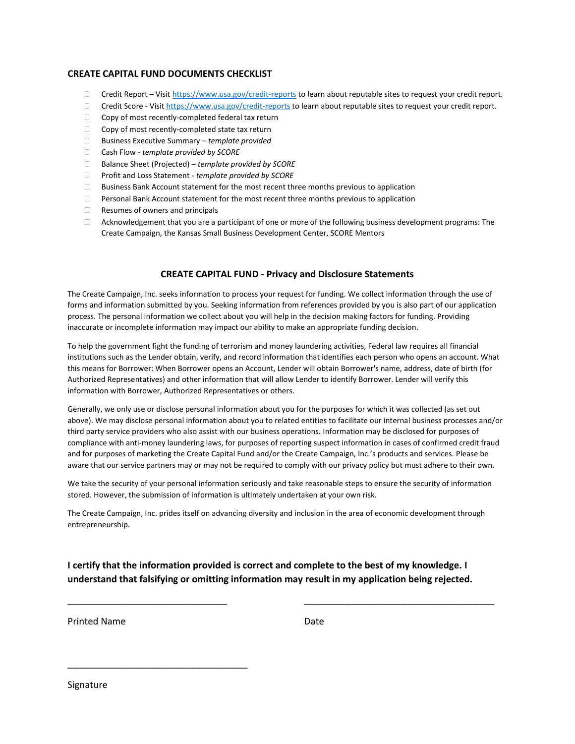## **CREATE CAPITAL FUND DOCUMENTS CHECKLIST**

- $\Box$  Credit Report Visi[t https://www.usa.gov/credit-reports](https://www.usa.gov/credit-reports) to learn about reputable sites to request your credit report.
- □ Credit Score Visi[t https://www.usa.gov/credit-reports](https://www.usa.gov/credit-reports) to learn about reputable sites to request your credit report.
- $\Box$  Copy of most recently-completed federal tax return
- $\Box$  Copy of most recently-completed state tax return
- Business Executive Summary *template provided*
- Cash Flow *template provided by SCORE*
- Balance Sheet (Projected) *template provided by SCORE*
- Profit and Loss Statement *template provided by SCORE*
- $\square$  Business Bank Account statement for the most recent three months previous to application
- $\Box$  Personal Bank Account statement for the most recent three months previous to application
- $\Box$  Resumes of owners and principals
- Acknowledgement that you are a participant of one or more of the following business development programs: The Create Campaign, the Kansas Small Business Development Center, SCORE Mentors

#### **CREATE CAPITAL FUND - Privacy and Disclosure Statements**

The Create Campaign, Inc. seeks information to process your request for funding. We collect information through the use of forms and information submitted by you. Seeking information from references provided by you is also part of our application process. The personal information we collect about you will help in the decision making factors for funding. Providing inaccurate or incomplete information may impact our ability to make an appropriate funding decision.

To help the government fight the funding of terrorism and money laundering activities, Federal law requires all financial institutions such as the Lender obtain, verify, and record information that identifies each person who opens an account. What this means for Borrower: When Borrower opens an Account, Lender will obtain Borrower's name, address, date of birth (for Authorized Representatives) and other information that will allow Lender to identify Borrower. Lender will verify this information with Borrower, Authorized Representatives or others.

Generally, we only use or disclose personal information about you for the purposes for which it was collected (as set out above). We may disclose personal information about you to related entities to facilitate our internal business processes and/or third party service providers who also assist with our business operations. Information may be disclosed for purposes of compliance with anti-money laundering laws, for purposes of reporting suspect information in cases of confirmed credit fraud and for purposes of marketing the Create Capital Fund and/or the Create Campaign, Inc.'s products and services. Please be aware that our service partners may or may not be required to comply with our privacy policy but must adhere to their own.

We take the security of your personal information seriously and take reasonable steps to ensure the security of information stored. However, the submission of information is ultimately undertaken at your own risk.

The Create Campaign, Inc. prides itself on advancing diversity and inclusion in the area of economic development through entrepreneurship.

**I certify that the information provided is correct and complete to the best of my knowledge. I understand that falsifying or omitting information may result in my application being rejected.**

\_\_\_\_\_\_\_\_\_\_\_\_\_\_\_\_\_\_\_\_\_\_\_\_\_\_\_\_\_\_\_ \_\_\_\_\_\_\_\_\_\_\_\_\_\_\_\_\_\_\_\_\_\_\_\_\_\_\_\_\_\_\_\_\_\_\_\_\_

Printed Name Date

\_\_\_\_\_\_\_\_\_\_\_\_\_\_\_\_\_\_\_\_\_\_\_\_\_\_\_\_\_\_\_\_\_\_\_

Signature